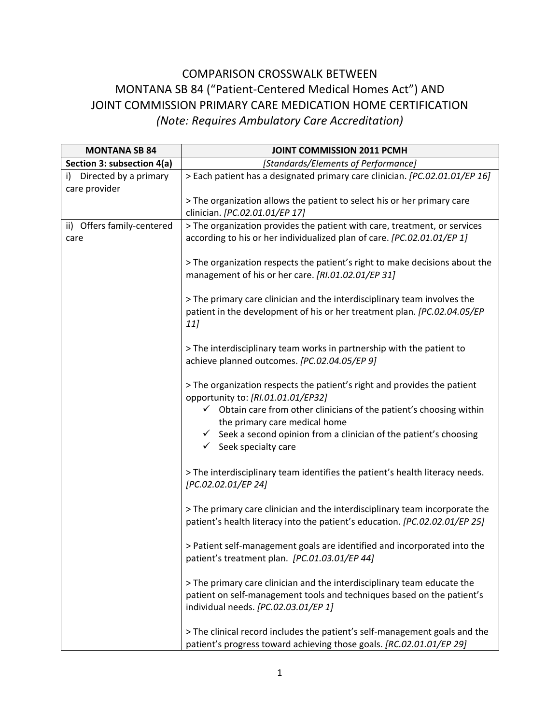## COMPARISON CROSSWALK BETWEEN MONTANA SB 84 ("Patient‐Centered Medical Homes Act") AND JOINT COMMISSION PRIMARY CARE MEDICATION HOME CERTIFICATION *(Note: Requires Ambulatory Care Accreditation)*

| <b>MONTANA SB 84</b>                         | <b>JOINT COMMISSION 2011 PCMH</b>                                                                                                                                                                                                  |
|----------------------------------------------|------------------------------------------------------------------------------------------------------------------------------------------------------------------------------------------------------------------------------------|
| Section 3: subsection 4(a)                   | [Standards/Elements of Performance]                                                                                                                                                                                                |
| Directed by a primary<br>i)<br>care provider | > Each patient has a designated primary care clinician. [PC.02.01.01/EP 16]                                                                                                                                                        |
|                                              | > The organization allows the patient to select his or her primary care<br>clinician. [PC.02.01.01/EP 17]                                                                                                                          |
| ii) Offers family-centered<br>care           | > The organization provides the patient with care, treatment, or services<br>according to his or her individualized plan of care. [PC.02.01.01/EP 1]                                                                               |
|                                              | > The organization respects the patient's right to make decisions about the<br>management of his or her care. [RI.01.02.01/EP 31]                                                                                                  |
|                                              | > The primary care clinician and the interdisciplinary team involves the<br>patient in the development of his or her treatment plan. [PC.02.04.05/EP<br>11]                                                                        |
|                                              | > The interdisciplinary team works in partnership with the patient to<br>achieve planned outcomes. [PC.02.04.05/EP 9]                                                                                                              |
|                                              | > The organization respects the patient's right and provides the patient<br>opportunity to: [RI.01.01.01/EP32]<br>$\checkmark$ Obtain care from other clinicians of the patient's choosing within<br>the primary care medical home |
|                                              | $\checkmark$ Seek a second opinion from a clinician of the patient's choosing<br>$\checkmark$ Seek specialty care                                                                                                                  |
|                                              | > The interdisciplinary team identifies the patient's health literacy needs.<br>[PC.02.02.01/EP 24]                                                                                                                                |
|                                              | > The primary care clinician and the interdisciplinary team incorporate the<br>patient's health literacy into the patient's education. [PC.02.02.01/EP 25]                                                                         |
|                                              | > Patient self-management goals are identified and incorporated into the<br>patient's treatment plan. [PC.01.03.01/EP 44]                                                                                                          |
|                                              | > The primary care clinician and the interdisciplinary team educate the<br>patient on self-management tools and techniques based on the patient's<br>individual needs. [PC.02.03.01/EP 1]                                          |
|                                              | > The clinical record includes the patient's self-management goals and the<br>patient's progress toward achieving those goals. [RC.02.01.01/EP 29]                                                                                 |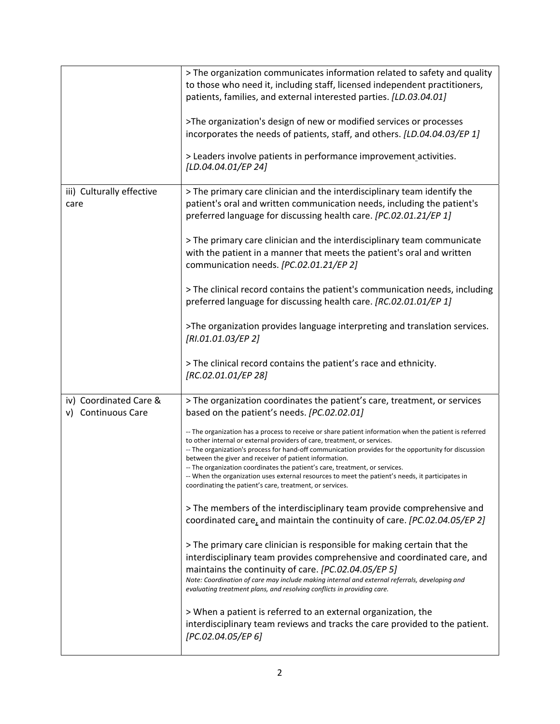|                                              | > The organization communicates information related to safety and quality<br>to those who need it, including staff, licensed independent practitioners,<br>patients, families, and external interested parties. [LD.03.04.01]<br>>The organization's design of new or modified services or processes<br>incorporates the needs of patients, staff, and others. [LD.04.04.03/EP 1]<br>> Leaders involve patients in performance improvement activities.<br>[LD.04.04.01/EP 24]                                                                                                                                                                                                                                                                                                                                                                                                                                                                                                                                                                                                                                                                                                                                                                                                                                                                                                                                                                        |
|----------------------------------------------|------------------------------------------------------------------------------------------------------------------------------------------------------------------------------------------------------------------------------------------------------------------------------------------------------------------------------------------------------------------------------------------------------------------------------------------------------------------------------------------------------------------------------------------------------------------------------------------------------------------------------------------------------------------------------------------------------------------------------------------------------------------------------------------------------------------------------------------------------------------------------------------------------------------------------------------------------------------------------------------------------------------------------------------------------------------------------------------------------------------------------------------------------------------------------------------------------------------------------------------------------------------------------------------------------------------------------------------------------------------------------------------------------------------------------------------------------|
| iii) Culturally effective<br>care            | > The primary care clinician and the interdisciplinary team identify the<br>patient's oral and written communication needs, including the patient's<br>preferred language for discussing health care. [PC.02.01.21/EP 1]<br>> The primary care clinician and the interdisciplinary team communicate<br>with the patient in a manner that meets the patient's oral and written<br>communication needs. [PC.02.01.21/EP 2]<br>> The clinical record contains the patient's communication needs, including<br>preferred language for discussing health care. [RC.02.01.01/EP 1]<br>>The organization provides language interpreting and translation services.<br>[RI.01.01.03/EP 2]<br>> The clinical record contains the patient's race and ethnicity.<br>[RC.02.01.01/EP 28]                                                                                                                                                                                                                                                                                                                                                                                                                                                                                                                                                                                                                                                                          |
| iv) Coordinated Care &<br>v) Continuous Care | > The organization coordinates the patient's care, treatment, or services<br>based on the patient's needs. [PC.02.02.01]<br>-- The organization has a process to receive or share patient information when the patient is referred<br>to other internal or external providers of care, treatment, or services.<br>-- The organization's process for hand-off communication provides for the opportunity for discussion<br>between the giver and receiver of patient information.<br>-- The organization coordinates the patient's care, treatment, or services.<br>-- When the organization uses external resources to meet the patient's needs, it participates in<br>coordinating the patient's care, treatment, or services.<br>> The members of the interdisciplinary team provide comprehensive and<br>coordinated care, and maintain the continuity of care. [PC.02.04.05/EP 2]<br>> The primary care clinician is responsible for making certain that the<br>interdisciplinary team provides comprehensive and coordinated care, and<br>maintains the continuity of care. [PC.02.04.05/EP 5]<br>Note: Coordination of care may include making internal and external referrals, developing and<br>evaluating treatment plans, and resolving conflicts in providing care.<br>> When a patient is referred to an external organization, the<br>interdisciplinary team reviews and tracks the care provided to the patient.<br>[PC.02.04.05/EP 6] |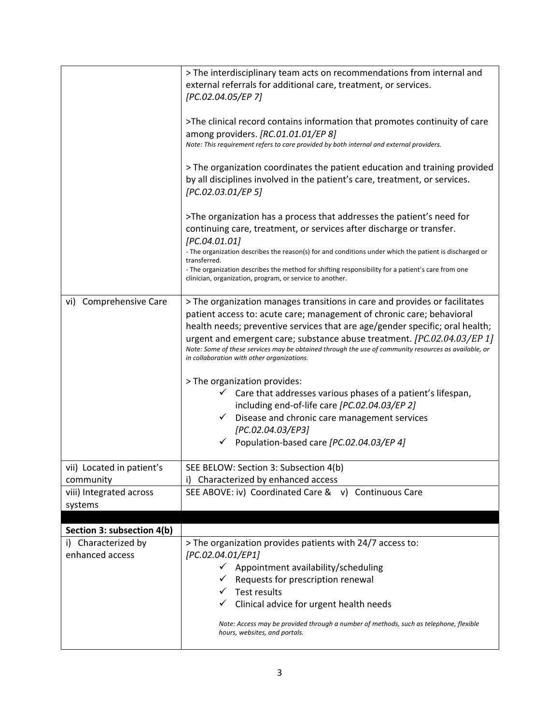|                                                                   | > The interdisciplinary team acts on recommendations from internal and<br>external referrals for additional care, treatment, or services.<br>[PC.02.04.05/EP 7]<br>>The clinical record contains information that promotes continuity of care<br>among providers. [RC.01.01.01/EP 8]<br>Note: This requirement refers to care provided by both internal and external providers.<br>> The organization coordinates the patient education and training provided<br>by all disciplines involved in the patient's care, treatment, or services.<br>[PC.02.03.01/EP 5]<br>>The organization has a process that addresses the patient's need for<br>continuing care, treatment, or services after discharge or transfer.                                      |
|-------------------------------------------------------------------|---------------------------------------------------------------------------------------------------------------------------------------------------------------------------------------------------------------------------------------------------------------------------------------------------------------------------------------------------------------------------------------------------------------------------------------------------------------------------------------------------------------------------------------------------------------------------------------------------------------------------------------------------------------------------------------------------------------------------------------------------------|
|                                                                   | [PC.04.01.01]<br>- The organization describes the reason(s) for and conditions under which the patient is discharged or<br>transferred.<br>- The organization describes the method for shifting responsibility for a patient's care from one<br>clinician, organization, program, or service to another.                                                                                                                                                                                                                                                                                                                                                                                                                                                |
| vi) Comprehensive Care                                            | > The organization manages transitions in care and provides or facilitates<br>patient access to: acute care; management of chronic care; behavioral<br>health needs; preventive services that are age/gender specific; oral health;<br>urgent and emergent care; substance abuse treatment. [PC.02.04.03/EP 1]<br>Note: Some of these services may be obtained through the use of community resources as available, or<br>in collaboration with other organizations.<br>> The organization provides:<br>Care that addresses various phases of a patient's lifespan,<br>including end-of-life care [PC.02.04.03/EP 2]<br>Disease and chronic care management services<br>✓<br>[PC.02.04.03/EP3]<br>$\checkmark$ Population-based care [PC.02.04.03/EP 4] |
| vii) Located in patient's<br>community<br>viii) Integrated across | SEE BELOW: Section 3: Subsection 4(b)<br>Characterized by enhanced access<br>SEE ABOVE: iv) Coordinated Care & v) Continuous Care                                                                                                                                                                                                                                                                                                                                                                                                                                                                                                                                                                                                                       |
| systems                                                           |                                                                                                                                                                                                                                                                                                                                                                                                                                                                                                                                                                                                                                                                                                                                                         |
|                                                                   |                                                                                                                                                                                                                                                                                                                                                                                                                                                                                                                                                                                                                                                                                                                                                         |
| Section 3: subsection 4(b)<br>Characterized by<br>i)              | > The organization provides patients with 24/7 access to:                                                                                                                                                                                                                                                                                                                                                                                                                                                                                                                                                                                                                                                                                               |
| enhanced access                                                   | [PC.02.04.01/EP1]<br>$\checkmark$ Appointment availability/scheduling<br>Requests for prescription renewal<br><b>Test results</b><br>Clinical advice for urgent health needs<br>Note: Access may be provided through a number of methods, such as telephone, flexible<br>hours, websites, and portals.                                                                                                                                                                                                                                                                                                                                                                                                                                                  |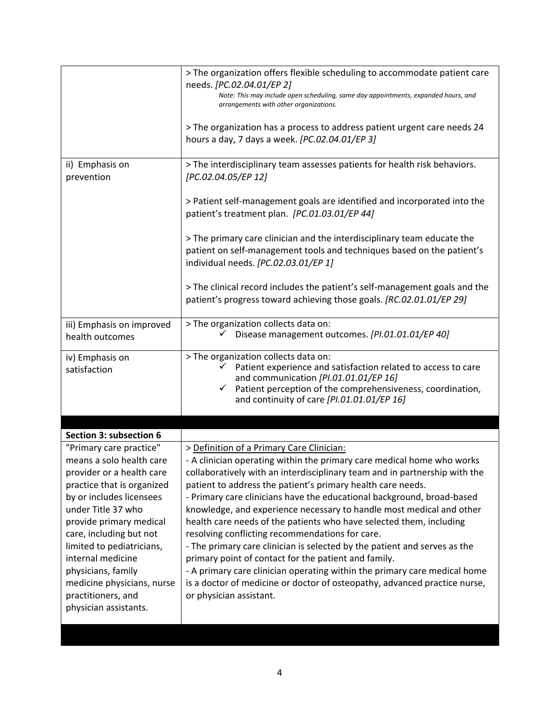|                                                                                                                                                                                                                                                                                                                                                                             | > The organization offers flexible scheduling to accommodate patient care<br>needs. [PC.02.04.01/EP 2]<br>Note: This may include open scheduling, same day appointments, expanded hours, and<br>arrangements with other organizations.                                                                                                                                                                                                                                                                                                                                                                                                                                                                                                                                                                                                                                 |
|-----------------------------------------------------------------------------------------------------------------------------------------------------------------------------------------------------------------------------------------------------------------------------------------------------------------------------------------------------------------------------|------------------------------------------------------------------------------------------------------------------------------------------------------------------------------------------------------------------------------------------------------------------------------------------------------------------------------------------------------------------------------------------------------------------------------------------------------------------------------------------------------------------------------------------------------------------------------------------------------------------------------------------------------------------------------------------------------------------------------------------------------------------------------------------------------------------------------------------------------------------------|
|                                                                                                                                                                                                                                                                                                                                                                             | > The organization has a process to address patient urgent care needs 24<br>hours a day, 7 days a week. [PC.02.04.01/EP 3]                                                                                                                                                                                                                                                                                                                                                                                                                                                                                                                                                                                                                                                                                                                                             |
| ii) Emphasis on<br>prevention                                                                                                                                                                                                                                                                                                                                               | > The interdisciplinary team assesses patients for health risk behaviors.<br>[PC.02.04.05/EP 12]                                                                                                                                                                                                                                                                                                                                                                                                                                                                                                                                                                                                                                                                                                                                                                       |
|                                                                                                                                                                                                                                                                                                                                                                             | > Patient self-management goals are identified and incorporated into the<br>patient's treatment plan. [PC.01.03.01/EP 44]                                                                                                                                                                                                                                                                                                                                                                                                                                                                                                                                                                                                                                                                                                                                              |
|                                                                                                                                                                                                                                                                                                                                                                             | > The primary care clinician and the interdisciplinary team educate the<br>patient on self-management tools and techniques based on the patient's<br>individual needs. [PC.02.03.01/EP 1]                                                                                                                                                                                                                                                                                                                                                                                                                                                                                                                                                                                                                                                                              |
|                                                                                                                                                                                                                                                                                                                                                                             | > The clinical record includes the patient's self-management goals and the<br>patient's progress toward achieving those goals. [RC.02.01.01/EP 29]                                                                                                                                                                                                                                                                                                                                                                                                                                                                                                                                                                                                                                                                                                                     |
| iii) Emphasis on improved<br>health outcomes                                                                                                                                                                                                                                                                                                                                | > The organization collects data on:<br>Disease management outcomes. [PI.01.01.01/EP 40]                                                                                                                                                                                                                                                                                                                                                                                                                                                                                                                                                                                                                                                                                                                                                                               |
| iv) Emphasis on<br>satisfaction                                                                                                                                                                                                                                                                                                                                             | > The organization collects data on:<br>Patient experience and satisfaction related to access to care<br>and communication [PI.01.01.01/EP 16]<br>Patient perception of the comprehensiveness, coordination,<br>$\checkmark$<br>and continuity of care [PI.01.01.01/EP 16]                                                                                                                                                                                                                                                                                                                                                                                                                                                                                                                                                                                             |
| Section 3: subsection 6                                                                                                                                                                                                                                                                                                                                                     |                                                                                                                                                                                                                                                                                                                                                                                                                                                                                                                                                                                                                                                                                                                                                                                                                                                                        |
| "Primary care practice"<br>means a solo health care<br>provider or a health care<br>practice that is organized<br>by or includes licensees<br>under Title 37 who<br>provide primary medical<br>care, including but not<br>limited to pediatricians,<br>internal medicine<br>physicians, family<br>medicine physicians, nurse<br>practitioners, and<br>physician assistants. | > Definition of a Primary Care Clinician:<br>- A clinician operating within the primary care medical home who works<br>collaboratively with an interdisciplinary team and in partnership with the<br>patient to address the patient's primary health care needs.<br>- Primary care clinicians have the educational background, broad-based<br>knowledge, and experience necessary to handle most medical and other<br>health care needs of the patients who have selected them, including<br>resolving conflicting recommendations for care.<br>- The primary care clinician is selected by the patient and serves as the<br>primary point of contact for the patient and family.<br>- A primary care clinician operating within the primary care medical home<br>is a doctor of medicine or doctor of osteopathy, advanced practice nurse,<br>or physician assistant. |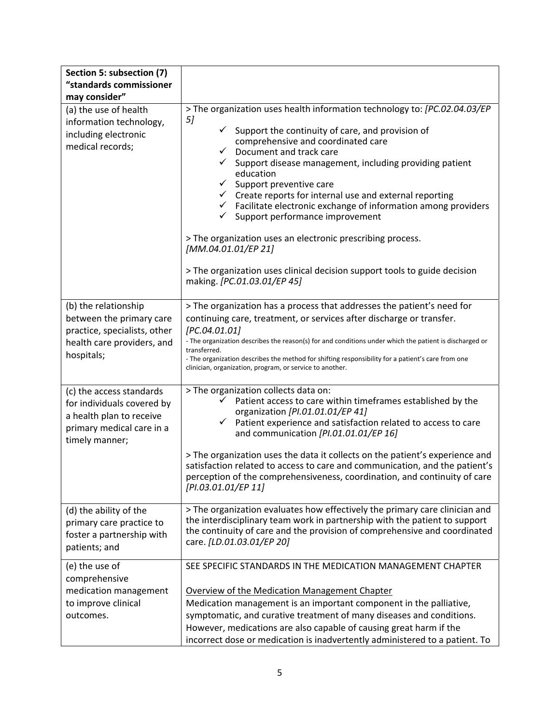| Section 5: subsection (7)                                                                                                                                |                                                                                                                                                                                                                                                                                                                                                                                                                                                                                                                                                                                                                                                                                                                                                               |
|----------------------------------------------------------------------------------------------------------------------------------------------------------|---------------------------------------------------------------------------------------------------------------------------------------------------------------------------------------------------------------------------------------------------------------------------------------------------------------------------------------------------------------------------------------------------------------------------------------------------------------------------------------------------------------------------------------------------------------------------------------------------------------------------------------------------------------------------------------------------------------------------------------------------------------|
| "standards commissioner                                                                                                                                  |                                                                                                                                                                                                                                                                                                                                                                                                                                                                                                                                                                                                                                                                                                                                                               |
| may consider"<br>(a) the use of health<br>information technology,<br>including electronic<br>medical records;                                            | > The organization uses health information technology to: [PC.02.04.03/EP<br>5]<br>✓<br>Support the continuity of care, and provision of<br>comprehensive and coordinated care<br>$\checkmark$<br>Document and track care<br>✓<br>Support disease management, including providing patient<br>education<br>$\checkmark$<br>Support preventive care<br>Create reports for internal use and external reporting<br>$\checkmark$<br>$\checkmark$ Facilitate electronic exchange of information among providers<br>$\checkmark$<br>Support performance improvement<br>> The organization uses an electronic prescribing process.<br>[MM.04.01.01/EP 21]<br>> The organization uses clinical decision support tools to guide decision<br>making. [PC.01.03.01/EP 45] |
|                                                                                                                                                          |                                                                                                                                                                                                                                                                                                                                                                                                                                                                                                                                                                                                                                                                                                                                                               |
| (b) the relationship<br>between the primary care<br>practice, specialists, other<br>health care providers, and<br>hospitals;<br>(c) the access standards | > The organization has a process that addresses the patient's need for<br>continuing care, treatment, or services after discharge or transfer.<br>[PC.04.01.01]<br>- The organization describes the reason(s) for and conditions under which the patient is discharged or<br>transferred.<br>- The organization describes the method for shifting responsibility for a patient's care from one<br>clinician, organization, program, or service to another.<br>> The organization collects data on:                                                                                                                                                                                                                                                            |
| for individuals covered by<br>a health plan to receive<br>primary medical care in a<br>timely manner;                                                    | Patient access to care within timeframes established by the<br>✓<br>organization [PI.01.01.01/EP 41]<br>Patient experience and satisfaction related to access to care<br>✓<br>and communication [PI.01.01.01/EP 16]<br>> The organization uses the data it collects on the patient's experience and<br>satisfaction related to access to care and communication, and the patient's<br>perception of the comprehensiveness, coordination, and continuity of care<br>[PI.03.01.01/EP 11]                                                                                                                                                                                                                                                                        |
| (d) the ability of the<br>primary care practice to<br>foster a partnership with<br>patients; and                                                         | > The organization evaluates how effectively the primary care clinician and<br>the interdisciplinary team work in partnership with the patient to support<br>the continuity of care and the provision of comprehensive and coordinated<br>care. [LD.01.03.01/EP 20]                                                                                                                                                                                                                                                                                                                                                                                                                                                                                           |
| (e) the use of<br>comprehensive<br>medication management<br>to improve clinical<br>outcomes.                                                             | SEE SPECIFIC STANDARDS IN THE MEDICATION MANAGEMENT CHAPTER<br>Overview of the Medication Management Chapter<br>Medication management is an important component in the palliative,<br>symptomatic, and curative treatment of many diseases and conditions.<br>However, medications are also capable of causing great harm if the<br>incorrect dose or medication is inadvertently administered to a patient. To                                                                                                                                                                                                                                                                                                                                               |